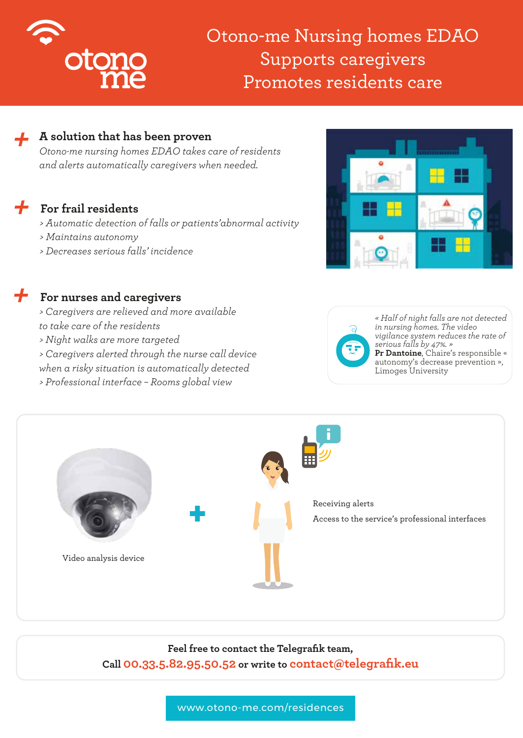

# Otono-me Nursing homes EDAO Supports caregivers Promotes residents care

## *+* **A solution that has been proven**

*Otono-me nursing homes EDAO takes care of residents and alerts automatically caregivers when needed.*

## *+* **For frail residents**

*+*

- *> Automatic detection of falls or patients'abnormal activity*
- *> Maintains autonomy*
- *> Decreases serious falls' incidence*

### **For nurses and caregivers**

- *> Caregivers are relieved and more available*
- *to take care of the residents*
- *> Night walks are more targeted*
- *> Caregivers alerted through the nurse call device*
- *when a risky situation is automatically detected*
- *> Professional interface Rooms global view*





*« Half of night falls are not detected in nursing homes. The video vigilance system reduces the rate of serious falls by 47%. »* **Pr Dantoine**, Chaire's responsible « autonomy's decrease prevention », Limoges University



**Feel free to contact the Telegrafik team, Call 00.33.5.82.95.50.52 or write to contact@telegrafik.eu**

www.otono-me.com/residences www.otono-me.com/residences